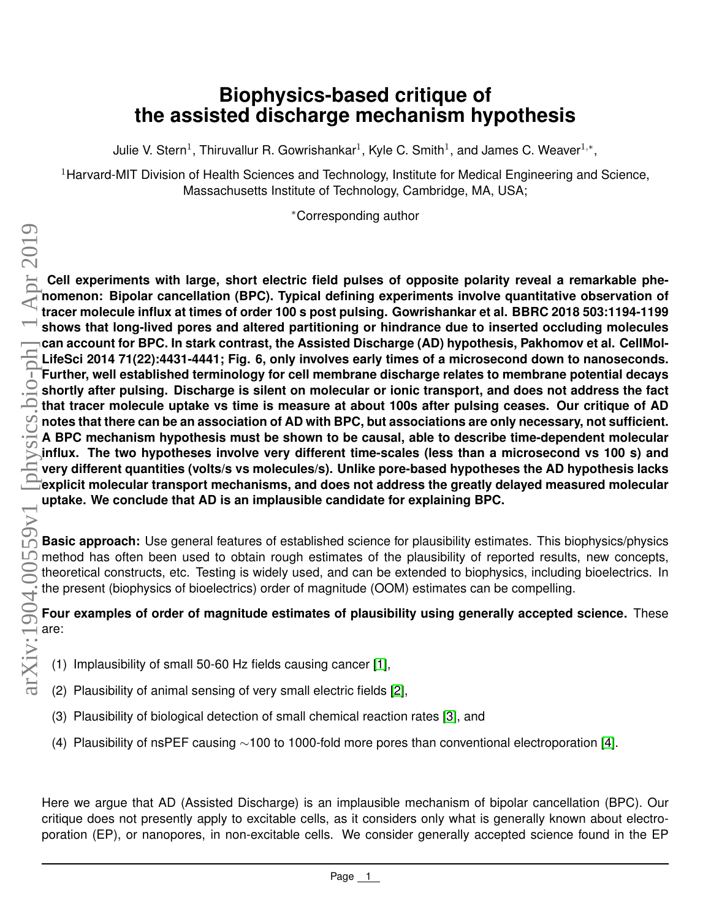## **Biophysics-based critique of the assisted discharge mechanism hypothesis**

Julie V. Stern<sup>1</sup>, Thiruvallur R. Gowrishankar<sup>1</sup>, Kyle C. Smith<sup>1</sup>, and James C. Weaver<sup>1,\*</sup>,

<sup>1</sup>Harvard-MIT Division of Health Sciences and Technology, Institute for Medical Engineering and Science, Massachusetts Institute of Technology, Cambridge, MA, USA;

<sup>∗</sup>Corresponding author

**Cell experiments with large, short electric field pulses of opposite polarity reveal a remarkable phenomenon: Bipolar cancellation (BPC). Typical defining experiments involve quantitative observation of tracer molecule influx at times of order 100 s post pulsing. Gowrishankar et al. BBRC 2018 503:1194-1199 shows that long-lived pores and altered partitioning or hindrance due to inserted occluding molecules can account for BPC. In stark contrast, the Assisted Discharge (AD) hypothesis, Pakhomov et al. CellMol-LifeSci 2014 71(22):4431-4441; Fig. 6, only involves early times of a microsecond down to nanoseconds. Further, well established terminology for cell membrane discharge relates to membrane potential decays shortly after pulsing. Discharge is silent on molecular or ionic transport, and does not address the fact that tracer molecule uptake vs time is measure at about 100s after pulsing ceases. Our critique of AD notes that there can be an association of AD with BPC, but associations are only necessary, not sufficient. A BPC mechanism hypothesis must be shown to be causal, able to describe time-dependent molecular influx. The two hypotheses involve very different time-scales (less than a microsecond vs 100 s) and very different quantities (volts/s vs molecules/s). Unlike pore-based hypotheses the AD hypothesis lacks explicit molecular transport mechanisms, and does not address the greatly delayed measured molecular uptake. We conclude that AD is an implausible candidate for explaining BPC.**

**Basic approach:** Use general features of established science for plausibility estimates. This biophysics/physics method has often been used to obtain rough estimates of the plausibility of reported results, new concepts, theoretical constructs, etc. Testing is widely used, and can be extended to biophysics, including bioelectrics. In the present (biophysics of bioelectrics) order of magnitude (OOM) estimates can be compelling.

## **Four examples of order of magnitude estimates of plausibility using generally accepted science.** These are:

- (1) Implausibility of small 50-60 Hz fields causing cancer [\[1\]](#page-4-0),
- (2) Plausibility of animal sensing of very small electric fields [\[2\]](#page-4-1),
- (3) Plausibility of biological detection of small chemical reaction rates [\[3\]](#page-4-2), and
- (4) Plausibility of nsPEF causing ∼100 to 1000-fold more pores than conventional electroporation [\[4\]](#page-4-3).

Here we argue that AD (Assisted Discharge) is an implausible mechanism of bipolar cancellation (BPC). Our critique does not presently apply to excitable cells, as it considers only what is generally known about electroporation (EP), or nanopores, in non-excitable cells. We consider generally accepted science found in the EP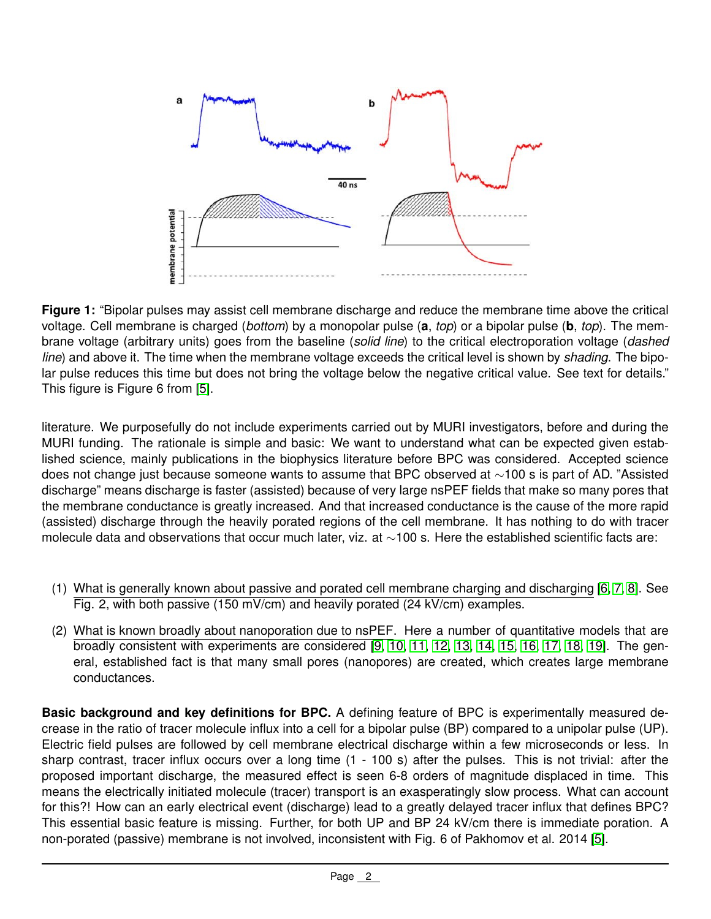

**Figure 1:** "Bipolar pulses may assist cell membrane discharge and reduce the membrane time above the critical voltage. Cell membrane is charged (*bottom*) by a monopolar pulse (**a**, *top*) or a bipolar pulse (**b**, *top*). The membrane voltage (arbitrary units) goes from the baseline (*solid line*) to the critical electroporation voltage (*dashed line*) and above it. The time when the membrane voltage exceeds the critical level is shown by *shading*. The bipolar pulse reduces this time but does not bring the voltage below the negative critical value. See text for details." This figure is Figure 6 from [\[5\]](#page-4-4).

literature. We purposefully do not include experiments carried out by MURI investigators, before and during the MURI funding. The rationale is simple and basic: We want to understand what can be expected given established science, mainly publications in the biophysics literature before BPC was considered. Accepted science does not change just because someone wants to assume that BPC observed at ∼100 s is part of AD. "Assisted discharge" means discharge is faster (assisted) because of very large nsPEF fields that make so many pores that the membrane conductance is greatly increased. And that increased conductance is the cause of the more rapid (assisted) discharge through the heavily porated regions of the cell membrane. It has nothing to do with tracer molecule data and observations that occur much later, viz. at ∼100 s. Here the established scientific facts are:

- (1) What is generally known about passive and porated cell membrane charging and discharging [\[6,](#page-4-5) [7,](#page-5-0) [8\]](#page-5-1). See Fig. 2, with both passive (150 mV/cm) and heavily porated (24 kV/cm) examples.
- (2) What is known broadly about nanoporation due to nsPEF. Here a number of quantitative models that are broadly consistent with experiments are considered [\[9,](#page-5-2) [10,](#page-5-3) [11,](#page-5-4) [12,](#page-5-5) [13,](#page-5-6) [14,](#page-5-7) [15,](#page-5-8) [16,](#page-5-9) [17,](#page-5-10) [18,](#page-5-11) [19\]](#page-5-12). The general, established fact is that many small pores (nanopores) are created, which creates large membrane conductances.

**Basic background and key definitions for BPC.** A defining feature of BPC is experimentally measured decrease in the ratio of tracer molecule influx into a cell for a bipolar pulse (BP) compared to a unipolar pulse (UP). Electric field pulses are followed by cell membrane electrical discharge within a few microseconds or less. In sharp contrast, tracer influx occurs over a long time (1 - 100 s) after the pulses. This is not trivial: after the proposed important discharge, the measured effect is seen 6-8 orders of magnitude displaced in time. This means the electrically initiated molecule (tracer) transport is an exasperatingly slow process. What can account for this?! How can an early electrical event (discharge) lead to a greatly delayed tracer influx that defines BPC? This essential basic feature is missing. Further, for both UP and BP 24 kV/cm there is immediate poration. A non-porated (passive) membrane is not involved, inconsistent with Fig. 6 of Pakhomov et al. 2014 [\[5\]](#page-4-4).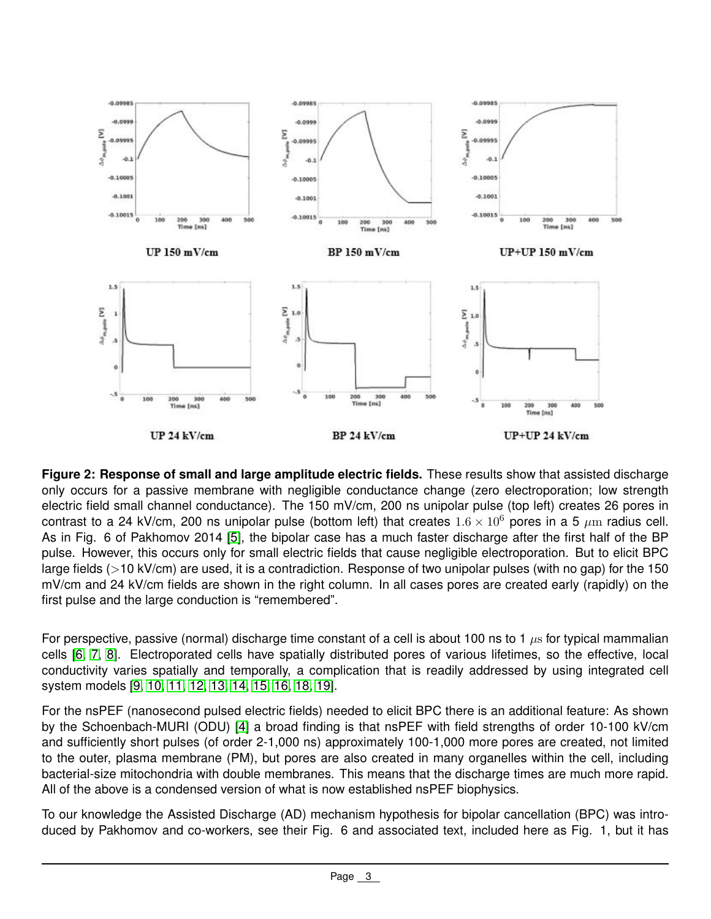

**Figure 2: Response of small and large amplitude electric fields.** These results show that assisted discharge only occurs for a passive membrane with negligible conductance change (zero electroporation; low strength electric field small channel conductance). The 150 mV/cm, 200 ns unipolar pulse (top left) creates 26 pores in contrast to a 24 kV/cm, 200 ns unipolar pulse (bottom left) that creates  $1.6 \times 10^6$  pores in a 5  $\mu$ m radius cell. As in Fig. 6 of Pakhomov 2014 [\[5\]](#page-4-4), the bipolar case has a much faster discharge after the first half of the BP pulse. However, this occurs only for small electric fields that cause negligible electroporation. But to elicit BPC large fields (>10 kV/cm) are used, it is a contradiction. Response of two unipolar pulses (with no gap) for the 150 mV/cm and 24 kV/cm fields are shown in the right column. In all cases pores are created early (rapidly) on the first pulse and the large conduction is "remembered".

For perspective, passive (normal) discharge time constant of a cell is about 100 ns to 1  $\mu$ s for typical mammalian cells [\[6,](#page-4-5) [7,](#page-5-0) [8\]](#page-5-1). Electroporated cells have spatially distributed pores of various lifetimes, so the effective, local conductivity varies spatially and temporally, a complication that is readily addressed by using integrated cell system models [\[9,](#page-5-2) [10,](#page-5-3) [11,](#page-5-4) [12,](#page-5-5) [13,](#page-5-6) [14,](#page-5-7) [15,](#page-5-8) [16,](#page-5-9) [18,](#page-5-11) [19\]](#page-5-12).

For the nsPEF (nanosecond pulsed electric fields) needed to elicit BPC there is an additional feature: As shown by the Schoenbach-MURI (ODU) [\[4\]](#page-4-3) a broad finding is that nsPEF with field strengths of order 10-100 kV/cm and sufficiently short pulses (of order 2-1,000 ns) approximately 100-1,000 more pores are created, not limited to the outer, plasma membrane (PM), but pores are also created in many organelles within the cell, including bacterial-size mitochondria with double membranes. This means that the discharge times are much more rapid. All of the above is a condensed version of what is now established nsPEF biophysics.

To our knowledge the Assisted Discharge (AD) mechanism hypothesis for bipolar cancellation (BPC) was introduced by Pakhomov and co-workers, see their Fig. 6 and associated text, included here as Fig. 1, but it has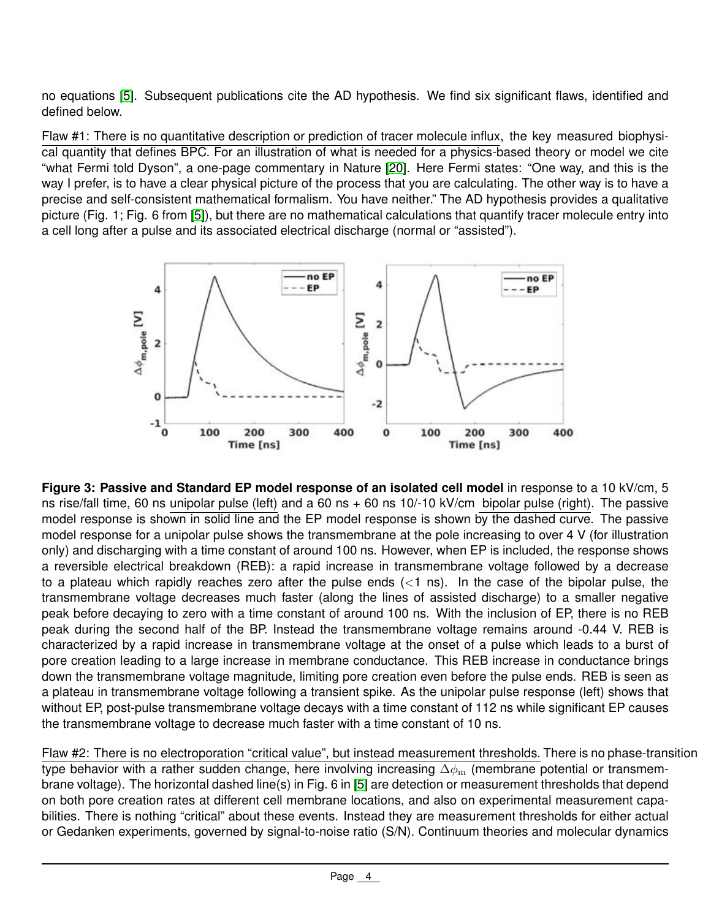no equations [\[5\]](#page-4-4). Subsequent publications cite the AD hypothesis. We find six significant flaws, identified and defined below.

Flaw #1: There is no quantitative description or prediction of tracer molecule influx, the key measured biophysical quantity that defines BPC. For an illustration of what is needed for a physics-based theory or model we cite "what Fermi told Dyson", a one-page commentary in Nature [\[20\]](#page-5-13). Here Fermi states: "One way, and this is the way I prefer, is to have a clear physical picture of the process that you are calculating. The other way is to have a precise and self-consistent mathematical formalism. You have neither." The AD hypothesis provides a qualitative picture (Fig. 1; Fig. 6 from [\[5\]](#page-4-4)), but there are no mathematical calculations that quantify tracer molecule entry into a cell long after a pulse and its associated electrical discharge (normal or "assisted").



**Figure 3: Passive and Standard EP model response of an isolated cell model** in response to a 10 kV/cm, 5 ns rise/fall time, 60 ns unipolar pulse (left) and a 60 ns + 60 ns 10/-10 kV/cm bipolar pulse (right). The passive model response is shown in solid line and the EP model response is shown by the dashed curve. The passive model response for a unipolar pulse shows the transmembrane at the pole increasing to over 4 V (for illustration only) and discharging with a time constant of around 100 ns. However, when EP is included, the response shows a reversible electrical breakdown (REB): a rapid increase in transmembrane voltage followed by a decrease to a plateau which rapidly reaches zero after the pulse ends  $(<1$  ns). In the case of the bipolar pulse, the transmembrane voltage decreases much faster (along the lines of assisted discharge) to a smaller negative peak before decaying to zero with a time constant of around 100 ns. With the inclusion of EP, there is no REB peak during the second half of the BP. Instead the transmembrane voltage remains around -0.44 V. REB is characterized by a rapid increase in transmembrane voltage at the onset of a pulse which leads to a burst of pore creation leading to a large increase in membrane conductance. This REB increase in conductance brings down the transmembrane voltage magnitude, limiting pore creation even before the pulse ends. REB is seen as a plateau in transmembrane voltage following a transient spike. As the unipolar pulse response (left) shows that without EP, post-pulse transmembrane voltage decays with a time constant of 112 ns while significant EP causes the transmembrane voltage to decrease much faster with a time constant of 10 ns.

Flaw #2: There is no electroporation "critical value", but instead measurement thresholds. There is no phase-transition type behavior with a rather sudden change, here involving increasing  $\Delta\phi_m$  (membrane potential or transmembrane voltage). The horizontal dashed line(s) in Fig. 6 in [\[5\]](#page-4-4) are detection or measurement thresholds that depend on both pore creation rates at different cell membrane locations, and also on experimental measurement capabilities. There is nothing "critical" about these events. Instead they are measurement thresholds for either actual or Gedanken experiments, governed by signal-to-noise ratio (S/N). Continuum theories and molecular dynamics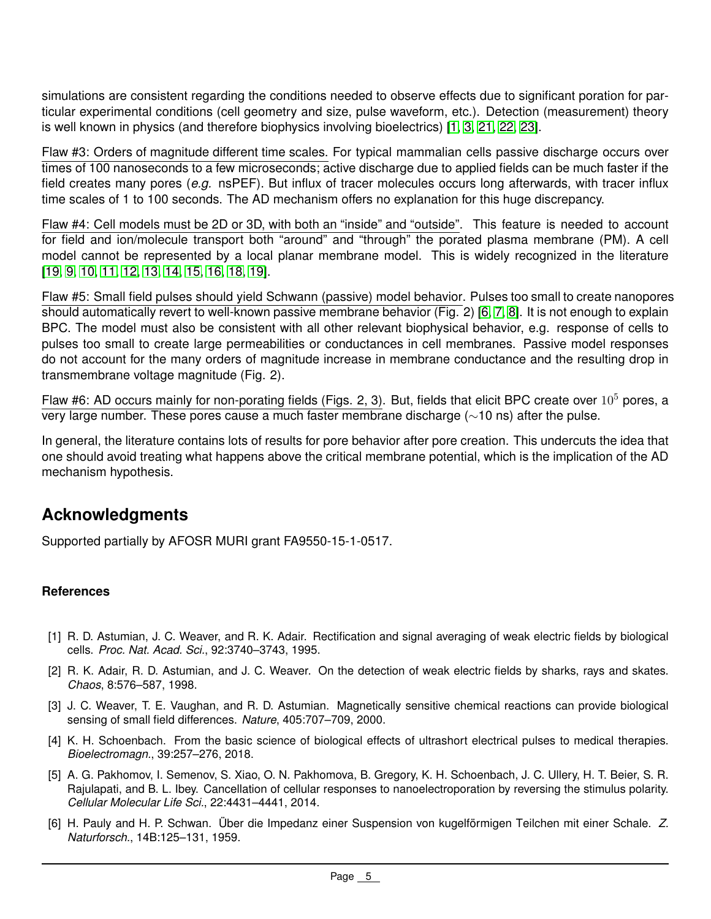simulations are consistent regarding the conditions needed to observe effects due to significant poration for particular experimental conditions (cell geometry and size, pulse waveform, etc.). Detection (measurement) theory is well known in physics (and therefore biophysics involving bioelectrics) [\[1,](#page-4-0) [3,](#page-4-2) [21,](#page-5-14) [22,](#page-5-15) [23\]](#page-5-16).

Flaw #3: Orders of magnitude different time scales. For typical mammalian cells passive discharge occurs over times of 100 nanoseconds to a few microseconds; active discharge due to applied fields can be much faster if the field creates many pores (*e.g.* nsPEF). But influx of tracer molecules occurs long afterwards, with tracer influx time scales of 1 to 100 seconds. The AD mechanism offers no explanation for this huge discrepancy.

Flaw #4: Cell models must be 2D or 3D, with both an "inside" and "outside". This feature is needed to account for field and ion/molecule transport both "around" and "through" the porated plasma membrane (PM). A cell model cannot be represented by a local planar membrane model. This is widely recognized in the literature [\[19,](#page-5-12) [9,](#page-5-2) [10,](#page-5-3) [11,](#page-5-4) [12,](#page-5-5) [13,](#page-5-6) [14,](#page-5-7) [15,](#page-5-8) [16,](#page-5-9) [18,](#page-5-11) [19\]](#page-5-12).

Flaw #5: Small field pulses should yield Schwann (passive) model behavior. Pulses too small to create nanopores should automatically revert to well-known passive membrane behavior (Fig. 2) [\[6,](#page-4-5) [7,](#page-5-0) [8\]](#page-5-1). It is not enough to explain BPC. The model must also be consistent with all other relevant biophysical behavior, e.g. response of cells to pulses too small to create large permeabilities or conductances in cell membranes. Passive model responses do not account for the many orders of magnitude increase in membrane conductance and the resulting drop in transmembrane voltage magnitude (Fig. 2).

Flaw #6: AD occurs mainly for non-porating fields (Figs. 2, 3). But, fields that elicit BPC create over  $10^5$  pores, a very large number. These pores cause a much faster membrane discharge (∼10 ns) after the pulse.

In general, the literature contains lots of results for pore behavior after pore creation. This undercuts the idea that one should avoid treating what happens above the critical membrane potential, which is the implication of the AD mechanism hypothesis.

## **Acknowledgments**

Supported partially by AFOSR MURI grant FA9550-15-1-0517.

## **References**

- <span id="page-4-0"></span>[1] R. D. Astumian, J. C. Weaver, and R. K. Adair. Rectification and signal averaging of weak electric fields by biological cells. *Proc. Nat. Acad. Sci.*, 92:3740–3743, 1995.
- <span id="page-4-1"></span>[2] R. K. Adair, R. D. Astumian, and J. C. Weaver. On the detection of weak electric fields by sharks, rays and skates. *Chaos*, 8:576–587, 1998.
- <span id="page-4-2"></span>[3] J. C. Weaver, T. E. Vaughan, and R. D. Astumian. Magnetically sensitive chemical reactions can provide biological sensing of small field differences. *Nature*, 405:707–709, 2000.
- <span id="page-4-3"></span>[4] K. H. Schoenbach. From the basic science of biological effects of ultrashort electrical pulses to medical therapies. *Bioelectromagn.*, 39:257–276, 2018.
- <span id="page-4-4"></span>[5] A. G. Pakhomov, I. Semenov, S. Xiao, O. N. Pakhomova, B. Gregory, K. H. Schoenbach, J. C. Ullery, H. T. Beier, S. R. Rajulapati, and B. L. Ibey. Cancellation of cellular responses to nanoelectroporation by reversing the stimulus polarity. *Cellular Molecular Life Sci.*, 22:4431–4441, 2014.
- <span id="page-4-5"></span>[6] H. Pauly and H. P. Schwan. Über die Impedanz einer Suspension von kugelförmigen Teilchen mit einer Schale. Z. *Naturforsch.*, 14B:125–131, 1959.